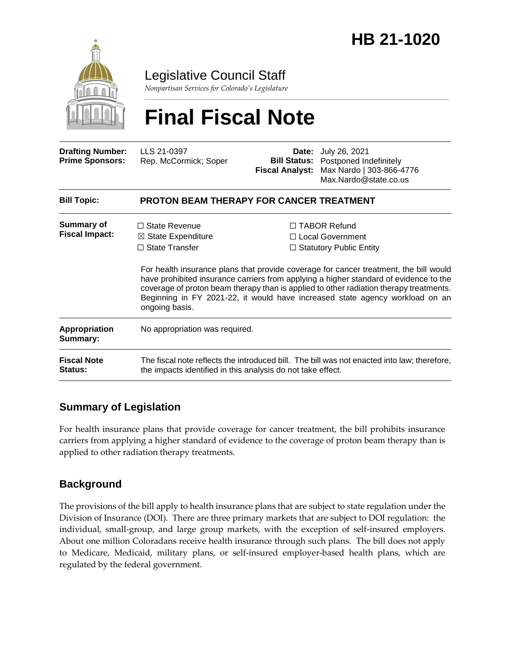

Legislative Council Staff

*Nonpartisan Services for Colorado's Legislature*

# **Final Fiscal Note**

| <b>Drafting Number:</b><br><b>Prime Sponsors:</b> | LLS 21-0397<br>Rep. McCormick; Soper                                                                                                                       | <b>Fiscal Analyst:</b>                                                                                                                                                                                                                                                                                                                                                                                                                  | <b>Date:</b> July 26, 2021<br><b>Bill Status:</b> Postponed Indefinitely<br>Max Nardo   303-866-4776<br>Max.Nardo@state.co.us |
|---------------------------------------------------|------------------------------------------------------------------------------------------------------------------------------------------------------------|-----------------------------------------------------------------------------------------------------------------------------------------------------------------------------------------------------------------------------------------------------------------------------------------------------------------------------------------------------------------------------------------------------------------------------------------|-------------------------------------------------------------------------------------------------------------------------------|
| <b>Bill Topic:</b>                                | <b>PROTON BEAM THERAPY FOR CANCER TREATMENT</b>                                                                                                            |                                                                                                                                                                                                                                                                                                                                                                                                                                         |                                                                                                                               |
| Summary of<br><b>Fiscal Impact:</b>               | $\Box$ State Revenue<br>$\boxtimes$ State Expenditure<br>$\Box$ State Transfer<br>ongoing basis.                                                           | $\Box$ TABOR Refund<br>□ Local Government<br>$\Box$ Statutory Public Entity<br>For health insurance plans that provide coverage for cancer treatment, the bill would<br>have prohibited insurance carriers from applying a higher standard of evidence to the<br>coverage of proton beam therapy than is applied to other radiation therapy treatments.<br>Beginning in FY 2021-22, it would have increased state agency workload on an |                                                                                                                               |
| <b>Appropriation</b><br>Summary:                  | No appropriation was required.                                                                                                                             |                                                                                                                                                                                                                                                                                                                                                                                                                                         |                                                                                                                               |
| <b>Fiscal Note</b><br><b>Status:</b>              | The fiscal note reflects the introduced bill. The bill was not enacted into law; therefore,<br>the impacts identified in this analysis do not take effect. |                                                                                                                                                                                                                                                                                                                                                                                                                                         |                                                                                                                               |

## **Summary of Legislation**

For health insurance plans that provide coverage for cancer treatment, the bill prohibits insurance carriers from applying a higher standard of evidence to the coverage of proton beam therapy than is applied to other radiation therapy treatments.

## **Background**

The provisions of the bill apply to health insurance plans that are subject to state regulation under the Division of Insurance (DOI). There are three primary markets that are subject to DOI regulation: the individual, small-group, and large group markets, with the exception of self-insured employers. About one million Coloradans receive health insurance through such plans. The bill does not apply to Medicare, Medicaid, military plans, or self-insured employer-based health plans, which are regulated by the federal government.